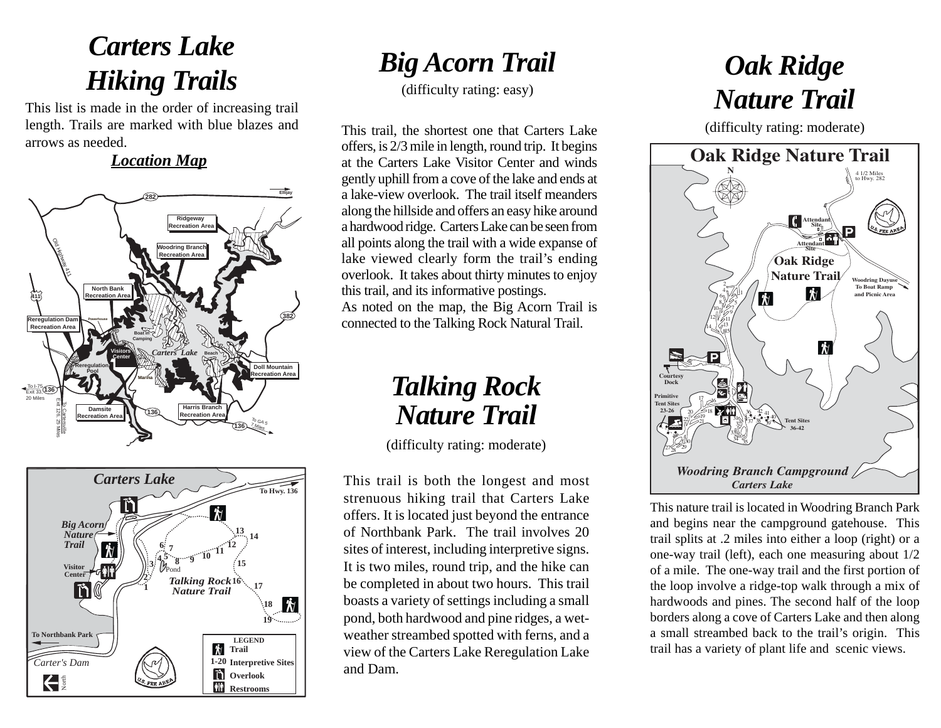# *Carters Lake Hiking Trails*

This list is made in the order of increasing trail length. Trails are marked with blue blazes and arrows as needed.

#### *Location Map*





### *Big Acorn Trail*

(difficulty rating: easy)

This trail, the shortest one that Carters Lake offers, is 2/3 mile in length, round trip. It begins at the Carters Lake Visitor Center and winds gently uphill from a cove of the lake and ends at a lake-view overlook. The trail itself meanders along the hillside and offers an easy hike around a hardwood ridge. Carters Lake can be seen from all points along the trail with a wide expanse of lake viewed clearly form the trail's ending overlook. It takes about thirty minutes to enjoy this trail, and its informative postings. As noted on the map, the Big Acorn Trail is connected to the Talking Rock Natural Trail.

# *Talking Rock Nature Trail*

(difficulty rating: moderate)

This trail is both the longest and most strenuous hiking trail that Carters Lake offers. It is located just beyond the entrance of Northbank Park. The trail involves 20 sites of interest, including interpretive signs. It is two miles, round trip, and the hike can be completed in about two hours. This trail boasts a variety of settings including a small pond, both hardwood and pine ridges, a wetweather streambed spotted with ferns, and a view of the Carters Lake Reregulation Lake and Dam.

# *Oak Ridge Nature Trail*

(difficulty rating: moderate)



This nature trail is located in Woodring Branch Park and begins near the campground gatehouse. This trail splits at .2 miles into either a loop (right) or a one-way trail (left), each one measuring about 1/2 of a mile. The one-way trail and the first portion of the loop involve a ridge-top walk through a mix of hardwoods and pines. The second half of the loop borders along a cove of Carters Lake and then along a small streambed back to the trail's origin. This trail has a variety of plant life and scenic views.